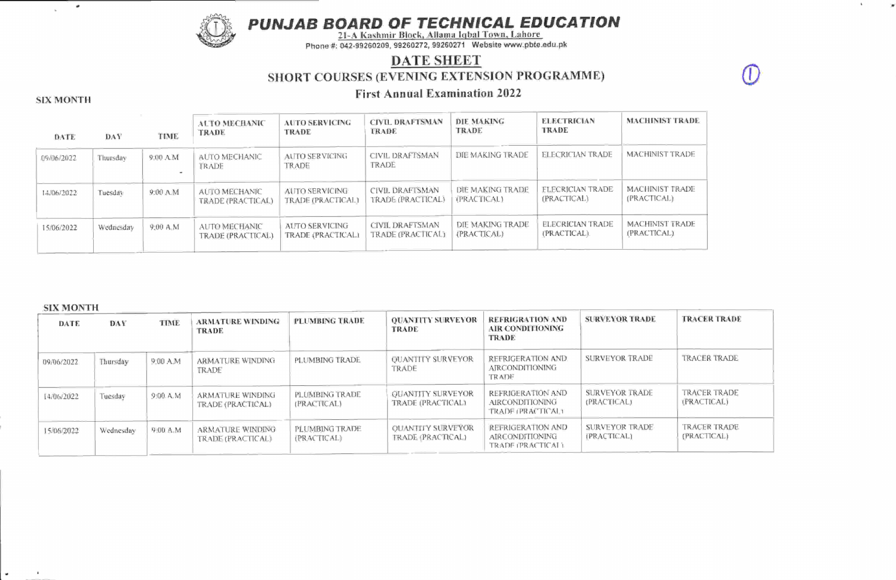PUNJAB BOARD OF TECHNICAL EDUCATION

 $\mathbf{K}$ 

 $\mathcal{F}$ 



2l-A Kashmir Block. Allama Iqbal Town. Lahore Phone #: 042-99260209, 99260272, 99260271 Website www.pbte.edu.pk

## DATE SHEET SHORT COURSES (EVENING EXTENSION PROGRAMME)

# First Annual Examination <sup>2022</sup> SIX MONTH

 $\omega$ 

 $\sim$ 

#### DATE DAY TIME AUTO NIECHANIC TRADE AUTO SERVICING TRADE CIVIL DRAFTSMAN TRADE DIE MAKING TRADE ELECTRICIAN TRADE MACHINIST TRADE 09/06/2022 | Thursday | 9:00 A.M | AUTO MECHANIC TRADE AUTO SERVICING TRADE CIVIL DRAFTSMAN TRADE DIE MAKING TRADE ELECRICIAN TRADE MACHINIST TRADE t4/06/2022 Tuesday 9:00 A.M AUTO MECHANIC TRADE (PRACTICAL) AUTO SERVICING TRADE (PRACTICAL) CIVIL DRAFTSMAN TRADE (PRACTICAL) DIE MAKINGTRADE (PRACTICAL) **ELECRICIAN TRADE** (PRACTICAL) MACHINIST TRADE (PRACTICAL) 15/06/2022 Wednesday 9:00 A.M AUTO MECHANIC TRADE GRACTICAL) AUTO SERVICING TRADE (PRACTICAL) CIVIL DRAFTSMAN TRADE (PRACTICAL) DIE MAKING TRADE (PRACTICAL) ELECRICIAN TRADE (PRACTICAJ,) MACHINIST TRADE (PRACTICAL)

### SIX MONTH

 $\mathbf{x}$ 

| DATE       | DAY       | TIME     | <b>ARMATURE WINDING</b><br>TRADE             | PLUMBING TRADE                | <b>OUANTITY SURVEYOR</b><br><b>TRADE</b>       | REFRIGRATION AND<br>AIR CONDITIONING<br>TRADE                    | SURVEYOR TRADE                | <b>TRACER TRADE</b>                |
|------------|-----------|----------|----------------------------------------------|-------------------------------|------------------------------------------------|------------------------------------------------------------------|-------------------------------|------------------------------------|
| 09/06/2022 | Thursday  | 9:00 A.M | ARMATURE WINDING<br>TRADE                    | PLUMBING TRADE                | <b>OUANTITY SURVEYOR</b><br>TRADE              | REFRIGERATION AND.<br><b>AIRCONDITIONING</b><br><b>TRADE</b>     | SURVEYOR TRADE                | <b>TRACER TRADE</b>                |
| 14/06/2022 | Tuesdav   | 9:00 A.M | ARMATURE WINDING<br>TRADE (PRACTICAL)        | PLUMBING TRADE<br>(FRACTICAL) | <b>OUANTITY SURVEYOR</b><br>TRADE (PRACTICAL)  | REFRIGERATION AND<br><b>AIRCONDITIONING</b><br>TRADE (PRACTICAL) | SURVEYOR TRADE<br>(PRACTICAL) | <b>TRACER TRADE</b><br>(PRACTICAL) |
| 15/06/2022 | Wednesday | 9:00 A.M | <b>ARMATURE WINDING</b><br>TRADE (PRACTICAL) | PLUMBING TRADE<br>(PRACTICAL) | <b>OLIANTITY SURVEYOR</b><br>TRADE (PRACTICAL) | REFRIGERATION AND<br>AIRCONDITIONING<br>TRADE (PRACTICAL)        | SURVEYOR TRADE<br>(PRACTICAL) | TRACER TRADE<br>(PRACTICAL)        |